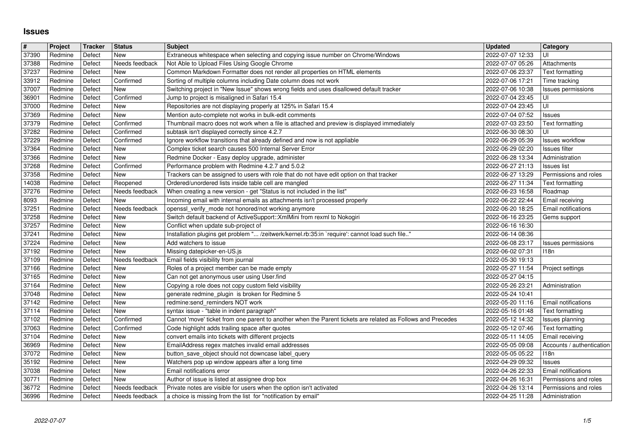## **Issues**

| $\overline{\#}$<br>37390 | Project<br>Redmine | Tracker<br>Defect | <b>Status</b><br>New             | <b>Subject</b><br>Extraneous whitespace when selecting and copying issue number on Chrome/Windows                                                          | <b>Updated</b><br>2022-07-07 12:33   | Category<br>UI                               |
|--------------------------|--------------------|-------------------|----------------------------------|------------------------------------------------------------------------------------------------------------------------------------------------------------|--------------------------------------|----------------------------------------------|
| 37388                    | Redmine            | Defect            | Needs feedback                   | Not Able to Upload Files Using Google Chrome                                                                                                               | 2022-07-07 05:26                     | Attachments                                  |
| 37237                    | Redmine            | Defect            | New<br>Confirmed                 | Common Markdown Formatter does not render all properties on HTML elements                                                                                  | 2022-07-06 23:37                     | <b>Text formatting</b>                       |
| 33912<br>37007           | Redmine<br>Redmine | Defect<br>Defect  | New                              | Sorting of multiple columns including Date column does not work<br>Switching project in "New Issue" shows wrong fields and uses disallowed default tracker | 2022-07-06 17:21<br>2022-07-06 10:38 | Time tracking<br>Issues permissions          |
| 36901                    | Redmine            | Defect            | Confirmed                        | Jump to project is misaligned in Safari 15.4                                                                                                               | 2022-07-04 23:45                     | UI                                           |
| 37000<br>37369           | Redmine<br>Redmine | Defect<br>Defect  | New<br>New                       | Repositories are not displaying properly at 125% in Safari 15.4<br>Mention auto-complete not works in bulk-edit comments                                   | 2022-07-04 23:45<br>2022-07-04 07:52 | UI<br><b>Issues</b>                          |
| 37379                    | Redmine            | Defect            | Confirmed                        | Thumbnail macro does not work when a file is attached and preview is displayed immediately                                                                 | 2022-07-03 23:50                     | Text formatting                              |
| 37282<br>37229           | Redmine<br>Redmine | Defect<br>Defect  | Confirmed<br>Confirmed           | subtask isn't displayed correctly since 4.2.7<br>Ignore workflow transitions that already defined and now is not appliable                                 | 2022-06-30 08:30<br>2022-06-29 05:39 | UI<br><b>Issues workflow</b>                 |
| 37364                    | Redmine            | Defect            | New                              | Complex ticket search causes 500 Internal Server Error                                                                                                     | 2022-06-29 02:20                     | <b>Issues filter</b>                         |
| 37366<br>37268           | Redmine<br>Redmine | Defect<br>Defect  | New<br>Confirmed                 | Redmine Docker - Easy deploy upgrade, administer<br>Performance problem with Redmine 4.2.7 and 5.0.2                                                       | 2022-06-28 13:34<br>2022-06-27 21:13 | Administration<br><b>Issues</b> list         |
| 37358                    | Redmine            | Defect            | New                              | Trackers can be assigned to users with role that do not have edit option on that tracker                                                                   | 2022-06-27 13:29                     | Permissions and roles                        |
| 14038<br>37276           | Redmine<br>Redmine | Defect<br>Defect  | Reopened<br>Needs feedback       | Ordered/unordered lists inside table cell are mangled<br>When creating a new version - get "Status is not included in the list"                            | 2022-06-27 11:34<br>2022-06-23 16:58 | Text formatting<br>Roadmap                   |
| 8093                     | Redmine            | Defect            | <b>New</b>                       | Incoming email with internal emails as attachments isn't processed properly                                                                                | 2022-06-22 22:44                     | Email receiving                              |
| 37251<br>37258           | Redmine<br>Redmine | Defect<br>Defect  | Needs feedback<br>New            | openssl_verify_mode not honored/not working anymore<br>Switch default backend of ActiveSupport:: XmlMini from rexml to Nokogiri                            | 2022-06-20 18:25<br>2022-06-16 23:25 | Email notifications<br>Gems support          |
| 37257                    | Redmine            | Defect            | New                              | Conflict when update sub-project of                                                                                                                        | 2022-06-16 16:30                     |                                              |
| 37241<br>37224           | Redmine<br>Redmine | Defect<br>Defect  | New<br>New                       | Installation plugins get problem " /zeitwerk/kernel.rb:35:in `require': cannot load such file"<br>Add watchers to issue                                    | 2022-06-14 08:36<br>2022-06-08 23:17 | Issues permissions                           |
| 37192                    | Redmine            | Defect            | New                              | Missing datepicker-en-US.js                                                                                                                                | 2022-06-02 07:31                     | 118n                                         |
| 37109<br>37166           | Redmine<br>Redmine | Defect<br>Defect  | Needs feedback<br>New            | Email fields visibility from journal<br>Roles of a project member can be made empty                                                                        | 2022-05-30 19:13<br>2022-05-27 11:54 | Project settings                             |
| 37165                    | Redmine            | Defect            | <b>New</b>                       | Can not get anonymous user using User.find                                                                                                                 | 2022-05-27 04:15                     |                                              |
| 37164<br>37048           | Redmine<br>Redmine | Defect<br>Defect  | New<br>New                       | Copying a role does not copy custom field visibility<br>generate redmine_plugin is broken for Redmine 5                                                    | 2022-05-26 23:21<br>2022-05-24 10:41 | Administration                               |
| 37142                    | Redmine            | Defect            | New                              | redmine:send_reminders NOT work                                                                                                                            | 2022-05-20 11:16                     | Email notifications                          |
| 37114<br>37102           | Redmine<br>Redmine | Defect<br>Defect  | New<br>Confirmed                 | syntax issue - "table in indent paragraph"<br>Cannot 'move' ticket from one parent to another when the Parent tickets are related as Follows and Precedes  | 2022-05-16 01:48<br>2022-05-12 14:32 | Text formatting<br>Issues planning           |
| 37063                    | Redmine            | Defect            | Confirmed                        | Code highlight adds trailing space after quotes                                                                                                            | 2022-05-12 07:46                     | Text formatting                              |
| 37104<br>36969           | Redmine<br>Redmine | Defect<br>Defect  | New<br>New                       | convert emails into tickets with different projects<br>EmailAddress regex matches invalid email addresses                                                  | 2022-05-11 14:05<br>2022-05-05 09:08 | Email receiving<br>Accounts / authentication |
| 37072                    | Redmine            | Defect            | New                              | button_save_object should not downcase label_query                                                                                                         | 2022-05-05 05:22                     | 118n                                         |
| 35192<br>37038           | Redmine<br>Redmine | Defect<br>Defect  | New<br>New                       | Watchers pop up window appears after a long time<br>Email notifications error                                                                              | 2022-04-29 09:32<br>2022-04-26 22:33 | <b>Issues</b><br>Email notifications         |
| 30771                    | Redmine            | Defect            | New                              | Author of issue is listed at assignee drop box                                                                                                             | 2022-04-26 16:31                     | Permissions and roles                        |
| 36772<br>36996           | Redmine<br>Redmine | Defect<br>Defect  | Needs feedback<br>Needs feedback | Private notes are visible for users when the option isn't activated<br>a choice is missing from the list for "notification by email"                       | 2022-04-26 13:14<br>2022-04-25 11:28 | Permissions and roles<br>Administration      |
|                          |                    |                   |                                  |                                                                                                                                                            |                                      |                                              |
|                          |                    |                   |                                  |                                                                                                                                                            |                                      |                                              |
|                          |                    |                   |                                  |                                                                                                                                                            |                                      |                                              |
|                          |                    |                   |                                  |                                                                                                                                                            |                                      |                                              |
|                          |                    |                   |                                  |                                                                                                                                                            |                                      |                                              |
|                          |                    |                   |                                  |                                                                                                                                                            |                                      |                                              |
|                          |                    |                   |                                  |                                                                                                                                                            |                                      |                                              |
|                          |                    |                   |                                  |                                                                                                                                                            |                                      |                                              |
|                          |                    |                   |                                  |                                                                                                                                                            |                                      |                                              |
|                          |                    |                   |                                  |                                                                                                                                                            |                                      |                                              |
|                          |                    |                   |                                  |                                                                                                                                                            |                                      |                                              |
|                          |                    |                   |                                  |                                                                                                                                                            |                                      |                                              |
|                          |                    |                   |                                  |                                                                                                                                                            |                                      |                                              |
|                          |                    |                   |                                  |                                                                                                                                                            |                                      |                                              |
|                          |                    |                   |                                  |                                                                                                                                                            |                                      |                                              |
|                          |                    |                   |                                  |                                                                                                                                                            |                                      |                                              |
|                          |                    |                   |                                  |                                                                                                                                                            |                                      |                                              |
|                          |                    |                   |                                  |                                                                                                                                                            |                                      |                                              |
|                          |                    |                   |                                  |                                                                                                                                                            |                                      |                                              |
|                          |                    |                   |                                  |                                                                                                                                                            |                                      |                                              |
|                          |                    |                   |                                  |                                                                                                                                                            |                                      |                                              |
|                          |                    |                   |                                  |                                                                                                                                                            |                                      |                                              |
|                          |                    |                   |                                  |                                                                                                                                                            |                                      |                                              |
|                          |                    |                   |                                  |                                                                                                                                                            |                                      |                                              |
|                          |                    |                   |                                  |                                                                                                                                                            |                                      |                                              |
|                          |                    |                   |                                  |                                                                                                                                                            |                                      |                                              |
|                          |                    |                   |                                  |                                                                                                                                                            |                                      |                                              |
|                          |                    |                   |                                  |                                                                                                                                                            |                                      |                                              |
|                          |                    |                   |                                  |                                                                                                                                                            |                                      |                                              |
|                          |                    |                   |                                  |                                                                                                                                                            |                                      |                                              |
|                          |                    |                   |                                  |                                                                                                                                                            |                                      |                                              |
|                          |                    |                   |                                  |                                                                                                                                                            |                                      |                                              |
|                          |                    |                   |                                  |                                                                                                                                                            |                                      |                                              |
|                          |                    |                   |                                  |                                                                                                                                                            |                                      |                                              |
|                          |                    |                   |                                  |                                                                                                                                                            |                                      |                                              |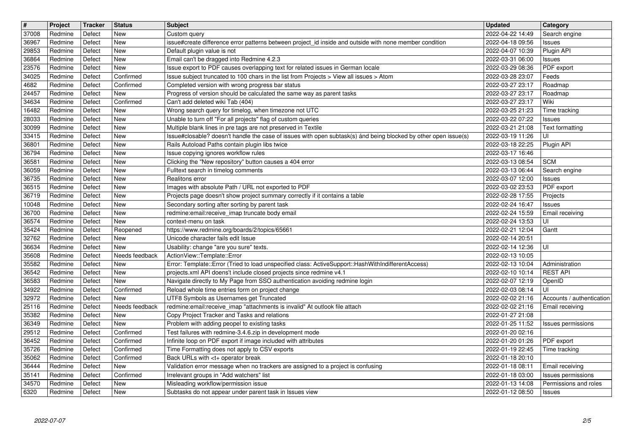| $\boxed{\texttt{#}}$<br>37008 | Project<br>Redmine | Tracker<br>Defect | <b>Status</b><br>New   | <b>Subject</b>                                                                                                                                                                   | <b>Updated</b><br>2022-04-22 14:49   | Category                               |
|-------------------------------|--------------------|-------------------|------------------------|----------------------------------------------------------------------------------------------------------------------------------------------------------------------------------|--------------------------------------|----------------------------------------|
| 36967                         | Redmine            | Defect            | New                    | Custom query<br>issue#create difference error patterns between project_id inside and outside with none member condition                                                          | 2022-04-18 09:56                     | Search engine<br><b>Issues</b>         |
| 29853                         | Redmine<br>Redmine | Defect<br>Defect  | New<br>New             | Default plugin value is not<br>Email can't be dragged into Redmine 4.2.3                                                                                                         | 2022-04-07 10:39<br>2022-03-31 06:00 | Plugin API<br>Issues                   |
| 36864<br>23576                | Redmine            | Defect            | New                    | Issue export to PDF causes overlapping text for related issues in German locale                                                                                                  | 2022-03-29 08:36                     | PDF export                             |
| 34025<br>4682                 | Redmine<br>Redmine | Defect<br>Defect  | Confirmed<br>Confirmed | Issue subject truncated to 100 chars in the list from Projects > View all issues > Atom<br>Completed version with wrong progress bar status                                      | 2022-03-28 23:07<br>2022-03-27 23:17 | Feeds<br>Roadmap                       |
| 24457                         | Redmine            | Defect            | New                    | Progress of version should be calculated the same way as parent tasks                                                                                                            | 2022-03-27 23:17                     | Roadmap                                |
| 34634<br>16482                | Redmine<br>Redmine | Defect<br>Defect  | Confirmed<br>New       | Can't add deleted wiki Tab (404)<br>Wrong search query for timelog, when timezone not UTC                                                                                        | 2022-03-27 23:17<br>2022-03-25 21:23 | Wiki<br>Time tracking                  |
| 28033                         | Redmine            | Defect            | New                    | Unable to turn off "For all projects" flag of custom queries                                                                                                                     | 2022-03-22 07:22                     | <b>Issues</b>                          |
| 30099<br>33415                | Redmine<br>Redmine | Defect<br>Defect  | New<br>New             | Multiple blank lines in pre tags are not preserved in Textile<br>Issue#closable? doesn't handle the case of issues with open subtask(s) ánd being blocked by other open issue(s) | 2022-03-21 21:08<br>2022-03-19 11:26 | Text formatting<br>UI                  |
| 36801                         | Redmine            | Defect            | New                    | Rails Autoload Paths contain plugin libs twice                                                                                                                                   | 2022-03-18 22:25                     | Plugin API                             |
| 36794<br>36581                | Redmine<br>Redmine | Defect<br>Defect  | New<br>New             | Issue copying ignores workflow rules<br>Clicking the "New repository" button causes a 404 error                                                                                  | 2022-03-17 16:46<br>2022-03-13 08:54 | <b>SCM</b>                             |
| 36059                         | Redmine            | Defect            | New                    | Fulltext search in timelog comments                                                                                                                                              | 2022-03-13 06:44                     | Search engine                          |
| 36735<br>36515                | Redmine<br>Redmine | Defect<br>Defect  | New<br>New             | Realitons error<br>Images with absolute Path / URL not exported to PDF                                                                                                           | 2022-03-07 12:00<br>2022-03-02 23:53 | <b>Issues</b><br>PDF export            |
| 36719                         | Redmine            | Defect            | New                    | Projects page doesn't show project summary correctly if it contains a table                                                                                                      | 2022-02-28 17:55                     | Projects                               |
| 10048<br>36700                | Redmine<br>Redmine | Defect<br>Defect  | New<br><b>New</b>      | Secondary sorting after sorting by parent task<br>redmine:email:receive_imap truncate body email                                                                                 | 2022-02-24 16:47<br>2022-02-24 15:59 | Issues<br>Email receiving              |
| 36574                         | Redmine            | Defect            | New                    | context-menu on task                                                                                                                                                             | 2022-02-24 13:53                     | UI                                     |
| 35424<br>32762                | Redmine<br>Redmine | Defect<br>Defect  | Reopened<br>New        | https://www.redmine.org/boards/2/topics/65661<br>Unicode character fails edit Issue                                                                                              | 2022-02-21 12:04<br>2022-02-14 20:51 | Gantt                                  |
| 36634                         | Redmine            | Defect            | New                    | Usability: change "are you sure" texts.                                                                                                                                          | 2022-02-14 12:36                     | UI                                     |
| 35608<br>35582                | Redmine<br>Redmine | Defect<br>Defect  | Needs feedback<br>New  | ActionView::Template::Error<br>Error: Template::Error (Tried to load unspecified class: ActiveSupport::HashWithIndifferentAccess)                                                | 2022-02-13 10:05<br>2022-02-13 10:04 | Administration                         |
| 36542                         | Redmine            | Defect            | New                    | projects.xml API doens't include closed projects since redmine v4.1                                                                                                              | 2022-02-10 10:14                     | <b>REST API</b>                        |
| 36583<br>34922                | Redmine<br>Redmine | Defect<br>Defect  | New<br>Confirmed       | Navigate directly to My Page from SSO authentication avoiding redmine login<br>Reload whole time entries form on project change                                                  | 2022-02-07 12:19<br>2022-02-03 08:14 | OpenID<br>UI                           |
| 32972                         | Redmine            | Defect            | New                    | UTF8 Symbols as Usernames get Truncated                                                                                                                                          | 2022-02-02 21:16                     | Accounts / authentication              |
| 25116                         | Redmine            | Defect            | Needs feedback<br>New  | redmine:email:receive_imap "attachments is invalid" At outlook file attach                                                                                                       | 2022-02-02 21:16                     | Email receiving                        |
| 35382<br>36349                | Redmine<br>Redmine | Defect<br>Defect  | New                    | Copy Project Tracker and Tasks and relations<br>Problem with adding peopel to existing tasks                                                                                     | 2022-01-27 21:08<br>2022-01-25 11:52 | Issues permissions                     |
| 29512                         | Redmine            | Defect            | Confirmed              | Test failures with redmine-3.4.6.zip in development mode                                                                                                                         | 2022-01-20 02:16                     |                                        |
| 36452<br>35726                | Redmine<br>Redmine | Defect<br>Defect  | Confirmed<br>Confirmed | Infinite loop on PDF export if image included with attributes<br>Time Formatting does not apply to CSV exports                                                                   | 2022-01-20 01:26<br>2022-01-19 22:45 | PDF export<br>Time tracking            |
| 35062                         | Redmine            | Defect            | Confirmed              | Back URLs with <t+ break<="" operator="" td=""><td>2022-01-18 20:10</td><td></td></t+>                                                                                           | 2022-01-18 20:10                     |                                        |
| 36444<br>35141                | Redmine<br>Redmine | Defect<br>Defect  | New<br>Confirmed       | Validation error message when no trackers are assigned to a project is confusing<br>Irrelevant groups in "Add watchers" list                                                     | 2022-01-18 08:11<br>2022-01-18 03:00 | Email receiving<br>Issues permissions  |
| 34570<br>6320                 | Redmine<br>Redmine | Defect<br>Defect  | New<br>New             | Misleading workflow/permission issue<br>Subtasks do not appear under parent task in Issues view                                                                                  | 2022-01-13 14:08<br>2022-01-12 08:50 | Permissions and roles<br><b>Issues</b> |
|                               |                    |                   |                        |                                                                                                                                                                                  |                                      |                                        |
|                               | 2022-07-07         |                   |                        |                                                                                                                                                                                  |                                      | 2/5                                    |
|                               |                    |                   |                        |                                                                                                                                                                                  |                                      |                                        |
|                               |                    |                   |                        |                                                                                                                                                                                  |                                      |                                        |
|                               |                    |                   |                        |                                                                                                                                                                                  |                                      |                                        |
|                               |                    |                   |                        |                                                                                                                                                                                  |                                      |                                        |
|                               |                    |                   |                        |                                                                                                                                                                                  |                                      |                                        |
|                               |                    |                   |                        |                                                                                                                                                                                  |                                      |                                        |
|                               |                    |                   |                        |                                                                                                                                                                                  |                                      |                                        |
|                               |                    |                   |                        |                                                                                                                                                                                  |                                      |                                        |
|                               |                    |                   |                        |                                                                                                                                                                                  |                                      |                                        |
|                               |                    |                   |                        |                                                                                                                                                                                  |                                      |                                        |
|                               |                    |                   |                        |                                                                                                                                                                                  |                                      |                                        |
|                               |                    |                   |                        |                                                                                                                                                                                  |                                      |                                        |
|                               |                    |                   |                        |                                                                                                                                                                                  |                                      |                                        |
|                               |                    |                   |                        |                                                                                                                                                                                  |                                      |                                        |
|                               |                    |                   |                        |                                                                                                                                                                                  |                                      |                                        |
|                               |                    |                   |                        |                                                                                                                                                                                  |                                      |                                        |
|                               |                    |                   |                        |                                                                                                                                                                                  |                                      |                                        |
|                               |                    |                   |                        |                                                                                                                                                                                  |                                      |                                        |
|                               |                    |                   |                        |                                                                                                                                                                                  |                                      |                                        |
|                               |                    |                   |                        |                                                                                                                                                                                  |                                      |                                        |
|                               |                    |                   |                        |                                                                                                                                                                                  |                                      |                                        |
|                               |                    |                   |                        |                                                                                                                                                                                  |                                      |                                        |
|                               |                    |                   |                        |                                                                                                                                                                                  |                                      |                                        |
|                               |                    |                   |                        |                                                                                                                                                                                  |                                      |                                        |
|                               |                    |                   |                        |                                                                                                                                                                                  |                                      |                                        |
|                               |                    |                   |                        |                                                                                                                                                                                  |                                      |                                        |
|                               |                    |                   |                        |                                                                                                                                                                                  |                                      |                                        |
|                               |                    |                   |                        |                                                                                                                                                                                  |                                      |                                        |
|                               |                    |                   |                        |                                                                                                                                                                                  |                                      |                                        |
|                               |                    |                   |                        |                                                                                                                                                                                  |                                      |                                        |
|                               |                    |                   |                        |                                                                                                                                                                                  |                                      |                                        |
|                               |                    |                   |                        |                                                                                                                                                                                  |                                      |                                        |
|                               |                    |                   |                        |                                                                                                                                                                                  |                                      |                                        |
|                               |                    |                   |                        |                                                                                                                                                                                  |                                      |                                        |
|                               |                    |                   |                        |                                                                                                                                                                                  |                                      |                                        |
|                               |                    |                   |                        |                                                                                                                                                                                  |                                      |                                        |
|                               |                    |                   |                        |                                                                                                                                                                                  |                                      |                                        |
|                               |                    |                   |                        |                                                                                                                                                                                  |                                      |                                        |
|                               |                    |                   |                        |                                                                                                                                                                                  |                                      |                                        |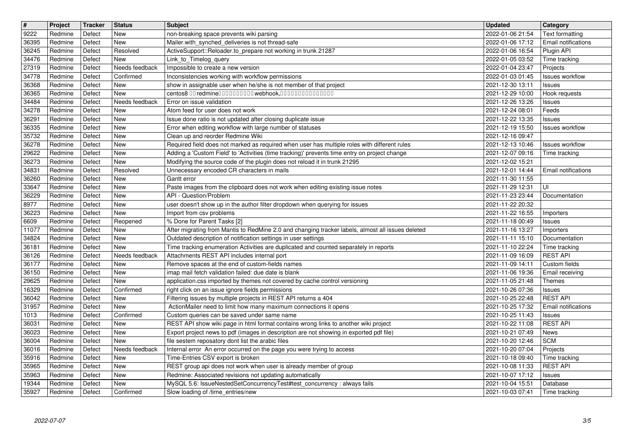| $\overline{\mathbf{H}}$ | Project            | Tracker          | <b>Status</b>     | <b>Subject</b>                                                                                                                                                                 | <b>Updated</b>                                      | Category                          |
|-------------------------|--------------------|------------------|-------------------|--------------------------------------------------------------------------------------------------------------------------------------------------------------------------------|-----------------------------------------------------|-----------------------------------|
| 9222                    | Redmine            | Defect           | New<br>New        | non-breaking space prevents wiki parsing                                                                                                                                       | 2022-01-06 21:54<br>2022-01-06 17:12                | Text formatting                   |
| 36395<br>36245          | Redmine<br>Redmine | Defect<br>Defect | Resolved          | Mailer.with_synched_deliveries is not thread-safe<br>ActiveSupport::Reloader.to_prepare not working in trunk 21287                                                             | 2022-01-06 16:54                                    | Email notifications<br>Plugin API |
| 34476                   | Redmine            | Defect           | New               | Link_to_Timelog_query                                                                                                                                                          | 2022-01-05 03:52                                    | Time tracking                     |
| 27319                   | Redmine            | Defect           | Needs feedback    | Impossible to create a new version                                                                                                                                             | 2022-01-04 23:47                                    | Projects                          |
| 34778                   | Redmine            | Defect           | Confirmed         | Inconsistencies working with workflow permissions                                                                                                                              | 2022-01-03 01:45                                    | Issues workflow                   |
| 36368<br>36365          | Redmine<br>Redmine | Defect<br>Defect | New<br>New        | show in assignable user when he/she is not member of that project<br>centos8 00 redmine00000000000webhook,000000000000000                                                      | 2021-12-30 13:11<br>2021-12-29 10:00                | Issues<br>Hook requests           |
| 34484                   | Redmine            | Defect           | Needs feedback    | Error on issue validation                                                                                                                                                      | 2021-12-26 13:26                                    | <b>Issues</b>                     |
| 34278                   | Redmine            | Defect           | New               | Atom feed for user does not work                                                                                                                                               | 2021-12-24 08:01                                    | Feeds                             |
| 36291<br>36335          | Redmine            | Defect           | New<br>New        | Issue done ratio is not updated after closing duplicate issue                                                                                                                  | 2021-12-22 13:35                                    | Issues<br><b>Issues workflow</b>  |
| 35732                   | Redmine<br>Redmine | Defect<br>Defect | New               | Error when editing workflow with large number of statuses<br>Clean up and reorder Redmine Wiki                                                                                 | 2021-12-19 15:50<br>2021-12-16 09:47                |                                   |
| 36278                   | Redmine            | Defect           | New               | Required field does not marked as required when user has multiple roles with different rules                                                                                   | 2021-12-13 10:46                                    | <b>Issues workflow</b>            |
| 29622                   | Redmine            | Defect           | New               | Adding a 'Custom Field' to 'Activities (time tracking)' prevents time entry on project change                                                                                  | 2021-12-07 09:16                                    | Time tracking                     |
| 36273<br>34831          | Redmine<br>Redmine | Defect<br>Defect | New<br>Resolved   | Modifying the source code of the plugin does not reload it in trunk 21295<br>Unnecessary encoded CR characters in mails                                                        | 2021-12-02 15:21<br>2021-12-01 14:44                | Email notifications               |
| 36260                   | Redmine            | Defect           | New               | Gantt error                                                                                                                                                                    | 2021-11-30 11:55                                    |                                   |
| 33647                   | Redmine            | Defect           | New               | Paste images from the clipboard does not work when editing existing issue notes                                                                                                | 2021-11-29 12:31                                    | UI                                |
| 36229                   | Redmine            | Defect           | New               | API - Question/Problem                                                                                                                                                         | 2021-11-23 23:44                                    | Documentation                     |
| 8977<br>36223           | Redmine<br>Redmine | Defect<br>Defect | New<br>New        | user doesn't show up in the author filter dropdown when querying for issues<br>Import from csv problems                                                                        | 2021-11-22 20:32<br>2021-11-22 16:55                | Importers                         |
| 6609                    | Redmine            | Defect           | Reopened          | % Done for Parent Tasks [2]                                                                                                                                                    | 2021-11-18 00:49                                    | Issues                            |
| 11077                   | Redmine            | Defect           | New               | After migrating from Mantis to RedMine 2.0 and changing tracker labels, almost all issues deleted                                                                              | 2021-11-16 13:27                                    | Importers                         |
| 34824                   | Redmine            | Defect           | <b>New</b><br>New | Outdated description of notification settings in user settings                                                                                                                 | 2021-11-11 15:10                                    | Documentation                     |
| 36181<br>36126          | Redmine<br>Redmine | Defect<br>Defect | Needs feedback    | Time tracking enumeration Activities are duplicated and counted separately in reports<br>Attachments REST API includes internal port                                           | 2021-11-10 22:24<br>2021-11-09 16:09                | Time tracking<br><b>REST API</b>  |
| 36177                   | Redmine            | Defect           | New               | Remove spaces at the end of custom-fields names                                                                                                                                | 2021-11-09 14:11                                    | Custom fields                     |
| 36150                   | Redmine            | Defect           | New               | imap mail fetch validation failed: due date is blank                                                                                                                           | 2021-11-06 19:36                                    | Email receiving                   |
| 29625<br>16329          | Redmine<br>Redmine | Defect<br>Defect | New<br>Confirmed  | application.css imported by themes not covered by cache control versioning<br>right click on an issue ignore fields permissions                                                | 2021-11-05 21:48<br>2021-10-26 07:36                | <b>Themes</b>                     |
| 36042                   | Redmine            | Defect           | New               | Filtering issues by multiple projects in REST API returns a 404                                                                                                                | 2021-10-25 22:48                                    | <b>Issues</b><br><b>REST API</b>  |
| 31957                   | Redmine            | Defect           | New               | ActionMailer need to limit how many maximum connections it opens                                                                                                               | 2021-10-25 17:32                                    | Email notifications               |
| 1013                    | Redmine            | Defect           | Confirmed         | Custom queries can be saved under same name                                                                                                                                    | 2021-10-25 11:43                                    | <b>Issues</b>                     |
| 36031<br>36023          | Redmine<br>Redmine | Defect<br>Defect | New<br>New        | REST API show wiki page in html format contains wrong links to another wiki project<br>Export project news to pdf (images in description are not showing in exported pdf file) | 2021-10-22 11:08<br>2021-10-21 07:49                | <b>REST API</b><br>News           |
| 36004                   | Redmine            | Defect           | New               | file sestem reposatory dont list the arabic files                                                                                                                              | 2021-10-20 12:46                                    | <b>SCM</b>                        |
| 36016                   | Redmine            | Defect           | Needs feedback    | Internal error An error occurred on the page you were trying to access                                                                                                         | 2021-10-20 07:04                                    | Projects                          |
| 35916<br>35965          | Redmine<br>Redmine | Defect<br>Defect | New<br>New        | Time-Entries CSV export is broken<br>REST group api does not work when user is already member of group                                                                         | 2021-10-18 09:40  Time tracking<br>2021-10-08 11:33 | <b>REST API</b>                   |
| 35963                   | Redmine            | Defect           | New               | Redmine: Associated revisions not updating automatically                                                                                                                       | 2021-10-07 17:12                                    | <b>Issues</b>                     |
| 19344                   | Redmine            | Defect           | New               | MySQL 5.6: IssueNestedSetConcurrencyTest#test_concurrency : always fails                                                                                                       | 2021-10-04 15:51                                    | Database                          |
|                         |                    |                  |                   |                                                                                                                                                                                |                                                     |                                   |
|                         |                    |                  |                   |                                                                                                                                                                                |                                                     |                                   |
|                         |                    |                  |                   |                                                                                                                                                                                |                                                     |                                   |
|                         |                    |                  |                   |                                                                                                                                                                                |                                                     |                                   |
|                         |                    |                  |                   |                                                                                                                                                                                |                                                     |                                   |
|                         |                    |                  |                   |                                                                                                                                                                                |                                                     |                                   |
|                         |                    |                  |                   |                                                                                                                                                                                |                                                     |                                   |
|                         |                    |                  |                   |                                                                                                                                                                                |                                                     |                                   |
|                         |                    |                  |                   |                                                                                                                                                                                |                                                     |                                   |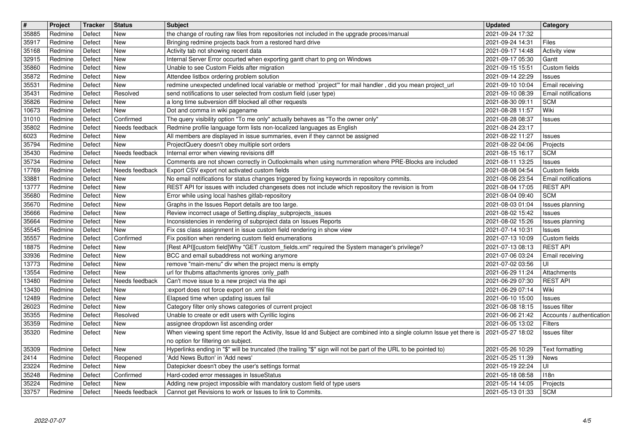| $\overline{\boldsymbol{H}}$ | Project            | Tracker          | <b>Status</b>         | Subject                                                                                                                                                       | <b>Updated</b>                       | Category                              |
|-----------------------------|--------------------|------------------|-----------------------|---------------------------------------------------------------------------------------------------------------------------------------------------------------|--------------------------------------|---------------------------------------|
| 35885<br>35917              | Redmine<br>Redmine | Defect<br>Defect | New<br>New            | the change of routing raw files from repositories not included in the upgrade proces/manual<br>Bringing redmine projects back from a restored hard drive      | 2021-09-24 17:32<br>2021-09-24 14:31 | Files                                 |
| 35168                       | Redmine            | Defect           | <b>New</b>            | Activity tab not showing recent data                                                                                                                          | 2021-09-17 14:48                     | <b>Activity view</b>                  |
| 32915                       | Redmine            | Defect           | New                   | Internal Server Error occurted when exporting gantt chart to png on Windows                                                                                   | 2021-09-17 05:30                     | Gantt                                 |
| 35860                       | Redmine            | Defect           | New                   | Unable to see Custom Fields after migration                                                                                                                   | 2021-09-15 15:51                     | Custom fields                         |
| 35872<br>35531              | Redmine<br>Redmine | Defect<br>Defect | New<br>New            | Attendee listbox ordering problem solution<br>redmine unexpected undefined local variable or method `project" for mail handler, did you mean project_url      | 2021-09-14 22:29<br>2021-09-10 10:04 | Issues<br>Email receiving             |
| 35431                       | Redmine            | Defect           | Resolved              | send notifications to user selected from costum field (user type)                                                                                             | 2021-09-10 08:39                     | Email notifications                   |
| 35826                       | Redmine            | Defect           | New                   | a long time subversion diff blocked all other requests                                                                                                        | 2021-08-30 09:11                     | <b>SCM</b>                            |
| 10673<br>31010              | Redmine<br>Redmine | Defect<br>Defect | New<br>Confirmed      | Dot and comma in wiki pagename<br>The query visibility option "To me only" actually behaves as "To the owner only"                                            | 2021-08-28 11:57<br>2021-08-28 08:37 | Wiki<br><b>Issues</b>                 |
| 35802                       | Redmine            | Defect           | Needs feedback        | Redmine profile language form lists non-localized languages as English                                                                                        | 2021-08-24 23:17                     |                                       |
| 6023                        | Redmine            | Defect           | New                   | All members are displayed in issue summaries, even if they cannot be assigned                                                                                 | 2021-08-22 11:27                     | <b>Issues</b>                         |
| 35794<br>35430              | Redmine<br>Redmine | Defect<br>Defect | New<br>Needs feedback | ProjectQuery doesn't obey multiple sort orders<br>Internal error when viewing revisions diff                                                                  | 2021-08-22 04:06<br>2021-08-15 16:17 | Projects<br><b>SCM</b>                |
| 35734                       | Redmine            | Defect           | New                   | Comments are not shown correctly in Outlookmails when using nummeration where PRE-Blocks are included                                                         | 2021-08-11 13:25                     | <b>Issues</b>                         |
| 17769                       | Redmine            | Defect           | Needs feedback        | Export CSV export not activated custom fields                                                                                                                 | 2021-08-08 04:54                     | Custom fields                         |
| 33881                       | Redmine            | Defect           | New                   | No email notifications for status changes triggered by fixing keywords in repository commits.                                                                 | 2021-08-06 23:54                     | Email notifications                   |
| 13777<br>35680              | Redmine<br>Redmine | Defect<br>Defect | New<br>New            | REST API for issues with included changesets does not include which repository the revision is from<br>Error while using local hashes gitlab-repository       | 2021-08-04 17:05<br>2021-08-04 09:40 | <b>REST API</b><br><b>SCM</b>         |
| 35670                       | Redmine            | Defect           | New                   | Graphs in the Issues Report details are too large.                                                                                                            | 2021-08-03 01:04                     | Issues planning                       |
| 35666                       | Redmine            | Defect           | New                   | Review incorrect usage of Setting.display_subprojects_issues                                                                                                  | 2021-08-02 15:42                     | <b>Issues</b>                         |
| 35664<br>35545              | Redmine<br>Redmine | Defect<br>Defect | New<br>New            | Inconsistencies in rendering of subproject data on Issues Reports<br>Fix css class assignment in issue custom field rendering in show view                    | 2021-08-02 15:26<br>2021-07-14 10:31 | Issues planning<br><b>Issues</b>      |
| 35557                       | Redmine            | Defect           | Confirmed             | Fix position when rendering custom field enumerations                                                                                                         | 2021-07-13 10:09                     | Custom fields                         |
| 18875                       | Redmine            | Defect           | New                   | [Rest API][custom field]Why "GET /custom_fields.xml" required the System manager's privilege?                                                                 | 2021-07-13 08:13                     | <b>REST API</b>                       |
| 33936<br>13773              | Redmine<br>Redmine | Defect<br>Defect | New<br>New            | BCC and email subaddress not working anymore<br>remove "main-menu" div when the project menu is empty                                                         | 2021-07-06 03:24<br>2021-07-02 03:56 | Email receiving<br>UI                 |
| 13554                       | Redmine            | Defect           | New                   | url for thubms attachments ignores :only_path                                                                                                                 | 2021-06-29 11:24                     | Attachments                           |
| 13480                       | Redmine            | Defect           | Needs feedback        | Can't move issue to a new project via the api                                                                                                                 | 2021-06-29 07:30                     | <b>REST API</b>                       |
| 13430                       | Redmine            | Defect           | New                   | :export does not force export on .xml file                                                                                                                    | 2021-06-29 07:14                     | Wiki                                  |
| 12489<br>26023              | Redmine<br>Redmine | Defect<br>Defect | New<br>New            | Elapsed time when updating issues fail<br>Category filter only shows categories of current project                                                            | 2021-06-10 15:00<br>2021-06-08 18:15 | <b>Issues</b><br><b>Issues filter</b> |
| 35355                       | Redmine            | Defect           | Resolved              | Unable to create or edit users with Cyrillic logins                                                                                                           | 2021-06-06 21:42                     | Accounts / authentication             |
| 35359                       | Redmine            | Defect           | New                   | assignee dropdown list ascending order                                                                                                                        | 2021-06-05 13:02                     | Filters                               |
| 35320                       | Redmine            | Defect           | New                   | When viewing spent time report the Activity, Issue Id and Subject are combined into a single column Issue yet there is<br>no option for filtering on subject. | 2021-05-27 18:02                     | Issues filter                         |
| 35309                       | Redmine            | Defect           | New                   | Hyperlinks ending in "\$" will be truncated (the trailing "\$" sign will not be part of the URL to be pointed to)                                             | 2021-05-26 10:29                     | Text formatting                       |
| 2414                        | Redmine            | Defect           | Reopened              | 'Add News Button' in 'Add news'                                                                                                                               | 2021-05-25 11:39                     | News                                  |
| 23224<br>35248              | Redmine<br>Redmine | Defect<br>Defect | New<br>Confirmed      | Datepicker doesn't obey the user's settings format<br>Hard-coded error messages in IssueStatus                                                                | 2021-05-19 22:24<br>2021-05-18 08:58 | UI<br>118n                            |
| 35224                       | Redmine            | Defect           | <b>New</b>            | Adding new project impossible with mandatory custom field of type users                                                                                       | 2021-05-14 14:05                     | Projects                              |
| 33757                       | Redmine            | Defect           | Needs feedback        | Cannot get Revisions to work or Issues to link to Commits.                                                                                                    | 2021-05-13 01:33                     | <b>SCM</b>                            |
|                             |                    |                  |                       |                                                                                                                                                               |                                      |                                       |
|                             |                    |                  |                       |                                                                                                                                                               |                                      |                                       |
|                             |                    |                  |                       |                                                                                                                                                               |                                      |                                       |
|                             |                    |                  |                       |                                                                                                                                                               |                                      |                                       |
|                             |                    |                  |                       |                                                                                                                                                               |                                      |                                       |
|                             |                    |                  |                       |                                                                                                                                                               |                                      |                                       |
|                             |                    |                  |                       |                                                                                                                                                               |                                      |                                       |
|                             |                    |                  |                       |                                                                                                                                                               |                                      |                                       |
|                             |                    |                  |                       |                                                                                                                                                               |                                      |                                       |
|                             |                    |                  |                       |                                                                                                                                                               |                                      |                                       |
|                             |                    |                  |                       |                                                                                                                                                               |                                      |                                       |
|                             |                    |                  |                       |                                                                                                                                                               |                                      |                                       |
|                             |                    |                  |                       |                                                                                                                                                               |                                      |                                       |